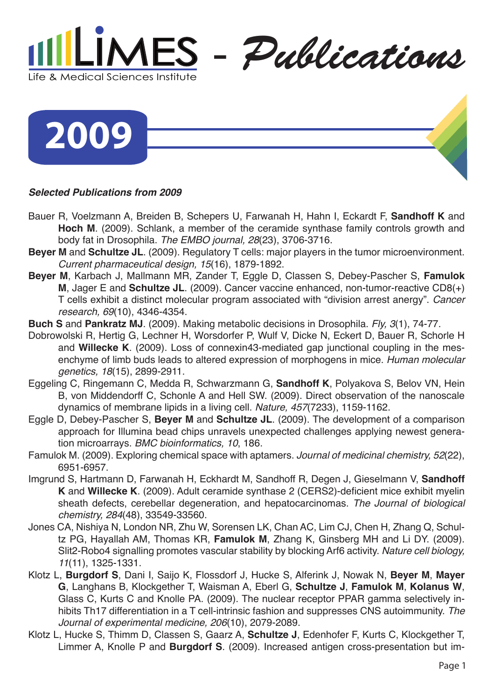

**2009**

## *Selected Publications from 2009*

- Bauer R, Voelzmann A, Breiden B, Schepers U, Farwanah H, Hahn I, Eckardt F, **Sandhoff K** and **Hoch M**. (2009). Schlank, a member of the ceramide synthase family controls growth and body fat in Drosophila. *The EMBO journal, 28*(23), 3706-3716.
- **Beyer M** and **Schultze JL**. (2009). Regulatory T cells: major players in the tumor microenvironment. *Current pharmaceutical design, 15*(16), 1879-1892.
- **Beyer M**, Karbach J, Mallmann MR, Zander T, Eggle D, Classen S, Debey-Pascher S, **Famulok M**, Jager E and **Schultze JL**. (2009). Cancer vaccine enhanced, non-tumor-reactive CD8(+) T cells exhibit a distinct molecular program associated with "division arrest anergy". *Cancer research, 69*(10), 4346-4354.
- **Buch S** and **Pankratz MJ**. (2009). Making metabolic decisions in Drosophila. *Fly, 3*(1), 74-77.
- Dobrowolski R, Hertig G, Lechner H, Worsdorfer P, Wulf V, Dicke N, Eckert D, Bauer R, Schorle H and **Willecke K**. (2009). Loss of connexin43-mediated gap junctional coupling in the mesenchyme of limb buds leads to altered expression of morphogens in mice. *Human molecular genetics, 18*(15), 2899-2911.
- Eggeling C, Ringemann C, Medda R, Schwarzmann G, **Sandhoff K**, Polyakova S, Belov VN, Hein B, von Middendorff C, Schonle A and Hell SW. (2009). Direct observation of the nanoscale dynamics of membrane lipids in a living cell. *Nature, 457*(7233), 1159-1162.
- Eggle D, Debey-Pascher S, **Beyer M** and **Schultze JL**. (2009). The development of a comparison approach for Illumina bead chips unravels unexpected challenges applying newest generation microarrays. *BMC bioinformatics, 10*, 186.
- Famulok M. (2009). Exploring chemical space with aptamers. *Journal of medicinal chemistry, 52*(22), 6951-6957.
- Imgrund S, Hartmann D, Farwanah H, Eckhardt M, Sandhoff R, Degen J, Gieselmann V, **Sandhoff K** and **Willecke K**. (2009). Adult ceramide synthase 2 (CERS2)-deficient mice exhibit myelin sheath defects, cerebellar degeneration, and hepatocarcinomas. *The Journal of biological chemistry, 284*(48), 33549-33560.
- Jones CA, Nishiya N, London NR, Zhu W, Sorensen LK, Chan AC, Lim CJ, Chen H, Zhang Q, Schultz PG, Hayallah AM, Thomas KR, **Famulok M**, Zhang K, Ginsberg MH and Li DY. (2009). Slit2-Robo4 signalling promotes vascular stability by blocking Arf6 activity. *Nature cell biology, 11*(11), 1325-1331.
- Klotz L, **Burgdorf S**, Dani I, Saijo K, Flossdorf J, Hucke S, Alferink J, Nowak N, **Beyer M**, **Mayer G**, Langhans B, Klockgether T, Waisman A, Eberl G, **Schultze J**, **Famulok M**, **Kolanus W**, Glass C, Kurts C and Knolle PA. (2009). The nuclear receptor PPAR gamma selectively inhibits Th17 differentiation in a T cell-intrinsic fashion and suppresses CNS autoimmunity. *The Journal of experimental medicine, 206*(10), 2079-2089.
- Klotz L, Hucke S, Thimm D, Classen S, Gaarz A, **Schultze J**, Edenhofer F, Kurts C, Klockgether T, Limmer A, Knolle P and **Burgdorf S**. (2009). Increased antigen cross-presentation but im-